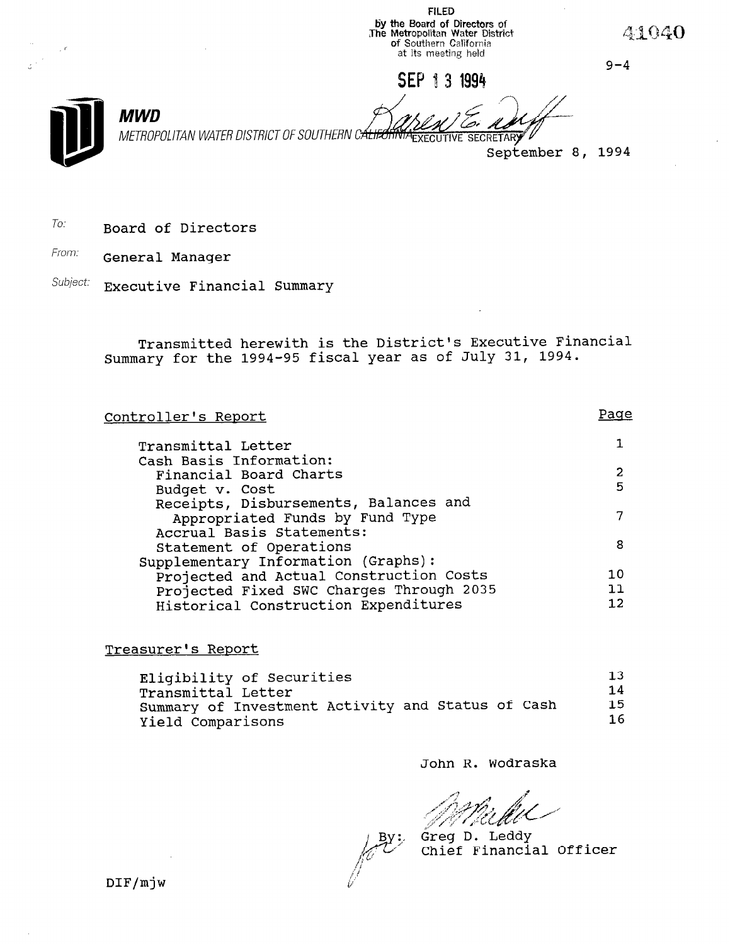FILED oy the Board of Directors of<br>The Metropolitan Water Distri **or** Southern Califori at its meeting held

SEP 13 1994

 $9 - 4$ 

41040

MWD METROP

METROPOLITAN WATER DISTRICT OF SOUTHERN C<del>ÁLIFE</del>

September 8, 1994

 $T$ o: Board of Directors

From: **General Manager** 

Subject: Executive Financial Summary

Transmitted herewith is the District's Executive Financial Summary for the 1994-95 fiscal year as of July 31, 1994.

Controller's Report Transmittal Letter Cash Basis Information: Financial Board Charts Budget v. Cost Receipts, Disbursements, Balances and Appropriated Funds by Fund Type Accrual Basis Statements: Statement of Operations Supplementary Information (Graphs): ppiementary information (Graphs). Projected and Actual Construction Costs Projected Fixed SWC Charges Through 2035<br>Historical Construction Expenditures Page 1 2  $\frac{2}{\pi}$ 7 10  $\frac{11}{12}$ 

Treasurer's Report

| Eligibility of Securities                         | 13  |
|---------------------------------------------------|-----|
| Transmittal Letter                                | 14  |
| Summary of Investment Activity and Status of Cash | 1.5 |
| Yield Comparisons                                 | 16  |

John R. Wodraska

Greg D. Leddy Chief Financial Officer

 $DIF/mjw$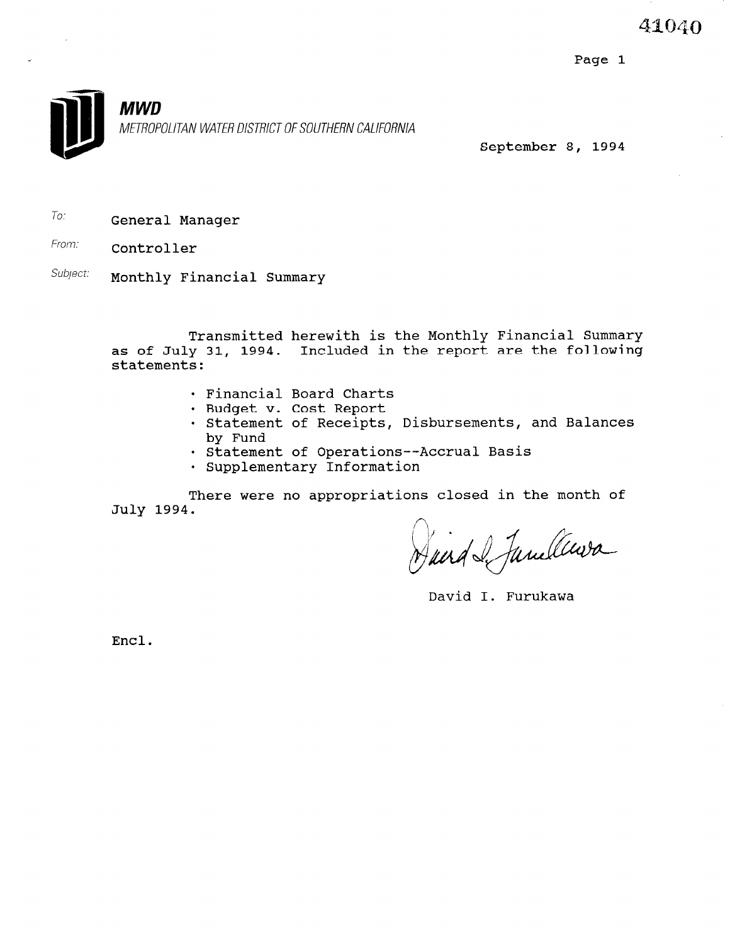Page 1



September 8, 1994

 $\tau$ <sub>0</sub>: **General Manager** 

From: **Controller** 

Subject: Monthly Financial Summary

Transmitted herewith is the Monthly Financial Summary as of July 31, 1994. Included in the report are the follow statements:

- . Financial Board Charts
- · Budget v. Cost Report
- · Statement of Receipts, Disbursements, and Balances by Fund
- . Statement of Operations--Accrual Basis
- · Supplementary Information

There were no appropriations closed in the month of July 1994.

David I. Furukawa

Encl.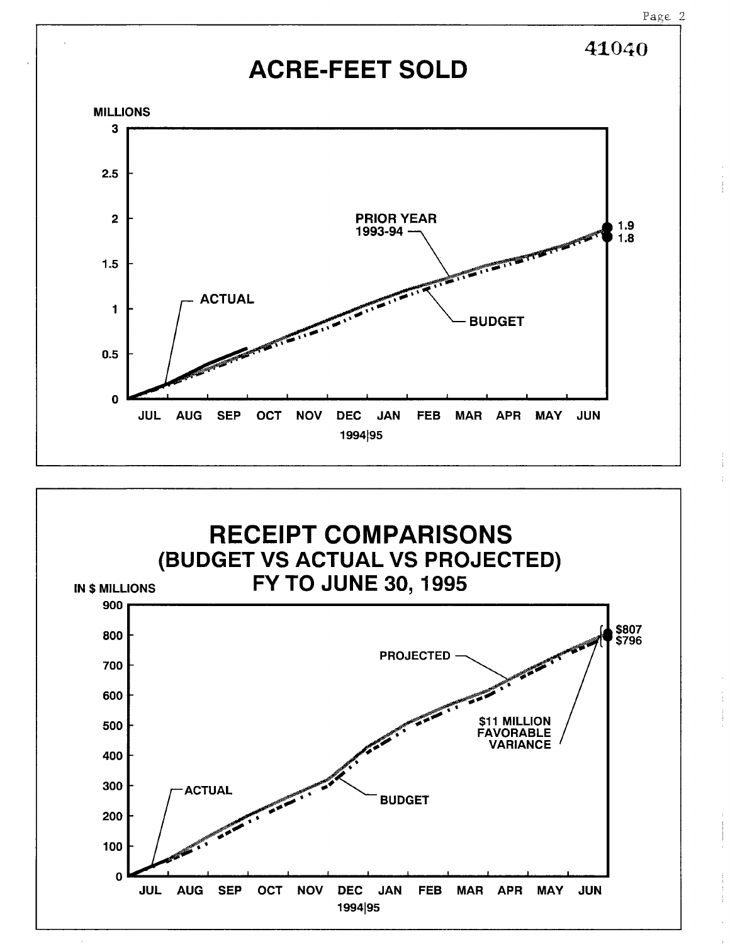



Page 2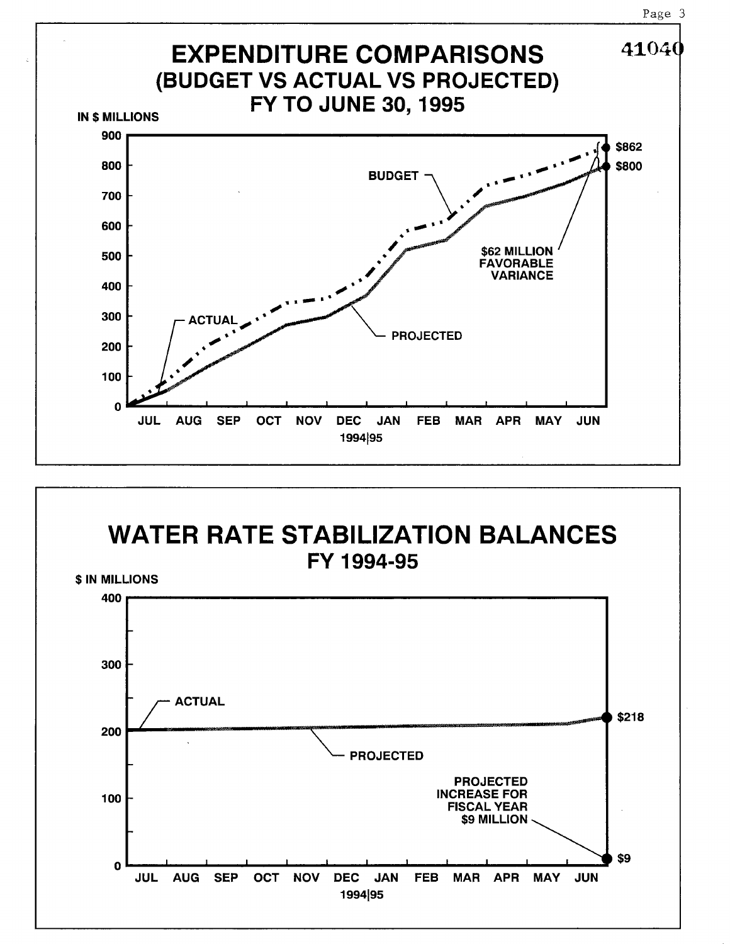



Page 3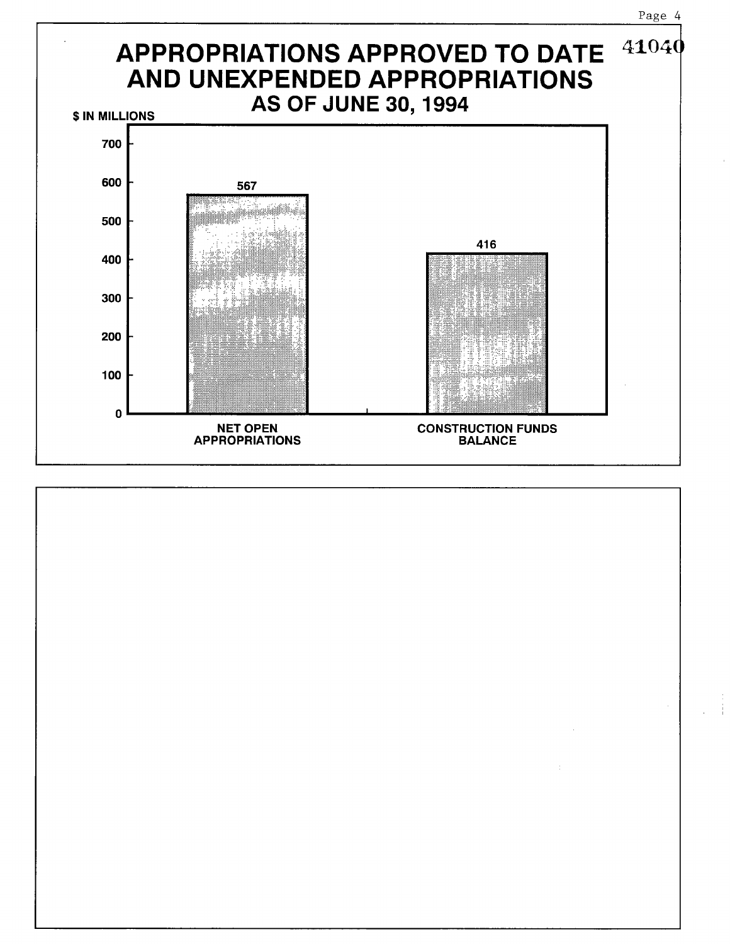

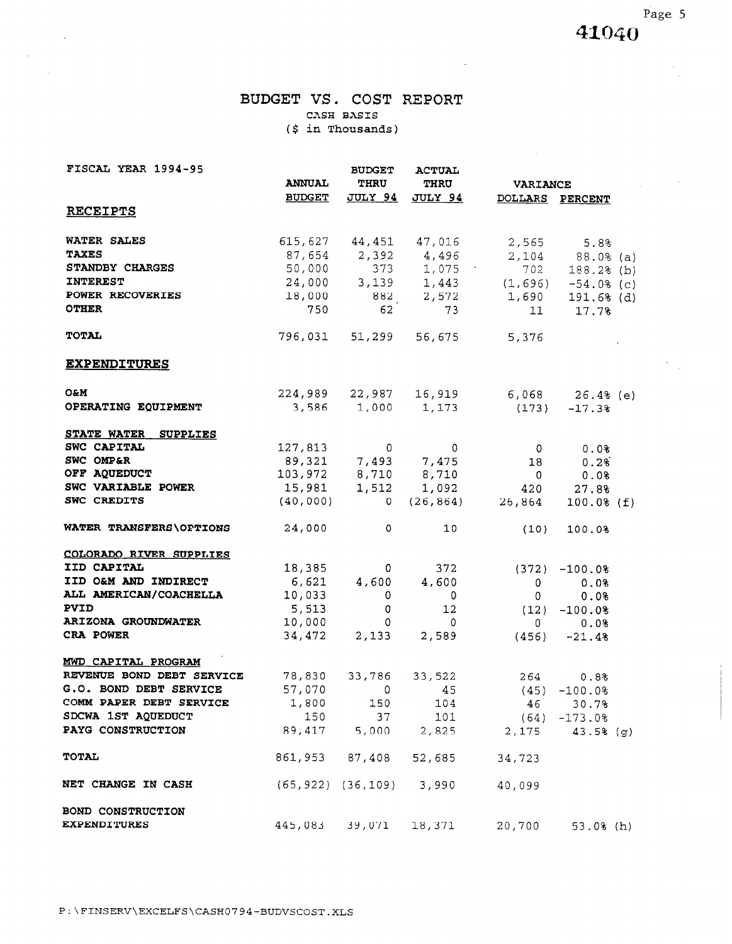Page 5 41040

### BUDGET VS. COST REPORT CASH BASIS (\$ in Thousands)

 $\bar{z}$ 

 $\sim$ 

 $\sim 10$ 

 $\sim$   $\mu$ 

 $\mathcal{L}_{\mathcal{A}}$ 

| FISCAL YEAR 1994-95            |               | <b>BUDGET</b>  | <b>ACTUAL</b>                        |                                                  |                       |  |
|--------------------------------|---------------|----------------|--------------------------------------|--------------------------------------------------|-----------------------|--|
|                                | <b>ANNUAL</b> | <b>THRU</b>    | THRU                                 | <b>VARIANCE</b>                                  |                       |  |
|                                | <b>BUDGET</b> |                | <u>JULY 94 JULY 94</u>               |                                                  | DOLLARS PERCENT       |  |
| <u>RECEIPTS</u>                |               |                |                                      |                                                  |                       |  |
| WATER SALES                    |               |                |                                      | 615,627 44,451 47,016 2,565 5.8%                 |                       |  |
| <b>TAXES</b>                   |               |                |                                      | $87,654$ 2,392 4,496 2,104 88.0% (a)             |                       |  |
| STANDBY CHARGES                |               |                |                                      | 50,000 373 1,075 702 188.2% (b)                  |                       |  |
| <b>INTEREST</b>                |               |                |                                      | $24,000$ $3,139$ $1,443$ $(1,696)$ $-54.0$ $(c)$ |                       |  |
| POWER RECOVERIES               |               |                |                                      | $18,000$ $882$ $2,572$ $1,690$ $191.6$ (d)       |                       |  |
| <b>OTHER</b>                   |               | 62             | 73                                   |                                                  | 11 17.7%              |  |
| <b>TOTAL</b>                   |               |                | 796,031 51,299 56,675                | 5,376                                            |                       |  |
| <b>EXPENDITURES</b>            |               |                |                                      |                                                  |                       |  |
| <b>O&amp;M</b>                 |               |                |                                      | 224,989 22,987 16,919 6,068 26.4% (e)            |                       |  |
| OPERATING EQUIPMENT            |               |                | $3,586$ $1,000$ $1,173$              |                                                  | $(173) -17.38$        |  |
| STATE WATER SUPPLIES           |               |                |                                      |                                                  |                       |  |
| SWC CAPITAL                    |               |                | 127,813 0 0                          |                                                  | $0 \t 0.08$           |  |
| SWC OMP&R                      |               |                | 89,321 7,493 7,475                   |                                                  | $18$ 0.2 <sup>8</sup> |  |
| OFF AQUEDUCT                   |               |                | 103,972 8,710 8,710                  |                                                  | $0 \t 0.08$           |  |
| SWC VARIABLE POWER             |               |                |                                      | 15,981  1,512  1,092  420  27.8%                 |                       |  |
| SWC CREDITS                    | (40,000)      |                |                                      | $0(26,864)$ $26,864$ $100.0%$ (f)                |                       |  |
| WATER TRANSFERS\OPTIONS        | 24,000        | $\circ$        | 10 <sub>1</sub>                      | (10)                                             | 100.0%                |  |
| <b>COLORADO RIVER SUPPLIES</b> |               |                |                                      |                                                  |                       |  |
| IID CAPITAL                    | 18,385        |                | 372<br>$\mathbf{0}$ and $\mathbf{0}$ |                                                  | $(372) -100.0%$       |  |
| IID O&M AND INDIRECT           |               |                | $6,621$ $4,600$ $4,600$              |                                                  | $0 \qquad 0.0$        |  |
| ALL AMERICAN/COACHELLA         | 10,033        | $\overline{0}$ | $\overline{\phantom{0}}$             | $\overline{\mathbf{0}}$                          | 0.0%                  |  |
| PVID                           | 5,513         | $\mathbf{0}$   | 12                                   |                                                  | $(12) -100.08$        |  |
| <b>ARIZONA GROUNDWATER</b>     | 10,000        | $\overline{O}$ | $\mathbf{0}$                         | $\mathbf{0}$                                     | 0.0%                  |  |
| CRA POWER                      |               |                | $34,472$ 2,133 2,589                 |                                                  | $(456) -21.48$        |  |
| MWD CAPITAL PROGRAM            |               |                |                                      |                                                  |                       |  |
| REVENUE BOND DEBT SERVICE      | 78,830 33,786 |                | 33,522                               | 264                                              | 0.8%                  |  |
| G.O. BOND DEBT SERVICE         |               |                |                                      | 57,070 0 45 (45) $-100.0%$                       |                       |  |
| COMM PAPER DEBT SERVICE        | 1,800         |                | 150 104                              | 46                                               | 30.7%                 |  |
| SDCWA 1ST AQUEDUCT             | 150           |                | 37 101                               |                                                  | $(64) -173.08$        |  |
| PAYG CONSTRUCTION              |               |                |                                      | 89,417 5,000 2,825 2,175 43.5% (g)               |                       |  |
| <b>TOTAL</b>                   |               | 861,953 87,408 | 52,685                               | 34,723                                           |                       |  |
| NET CHANGE IN CASH             |               |                | (65,922) (36,109) 3,990              | 40,099                                           |                       |  |
| BOND CONSTRUCTION              |               |                |                                      |                                                  |                       |  |
| <b>EXPENDITURES</b>            |               | 445,083 39,071 | 18,371                               |                                                  | 20,700 53.0% (h)      |  |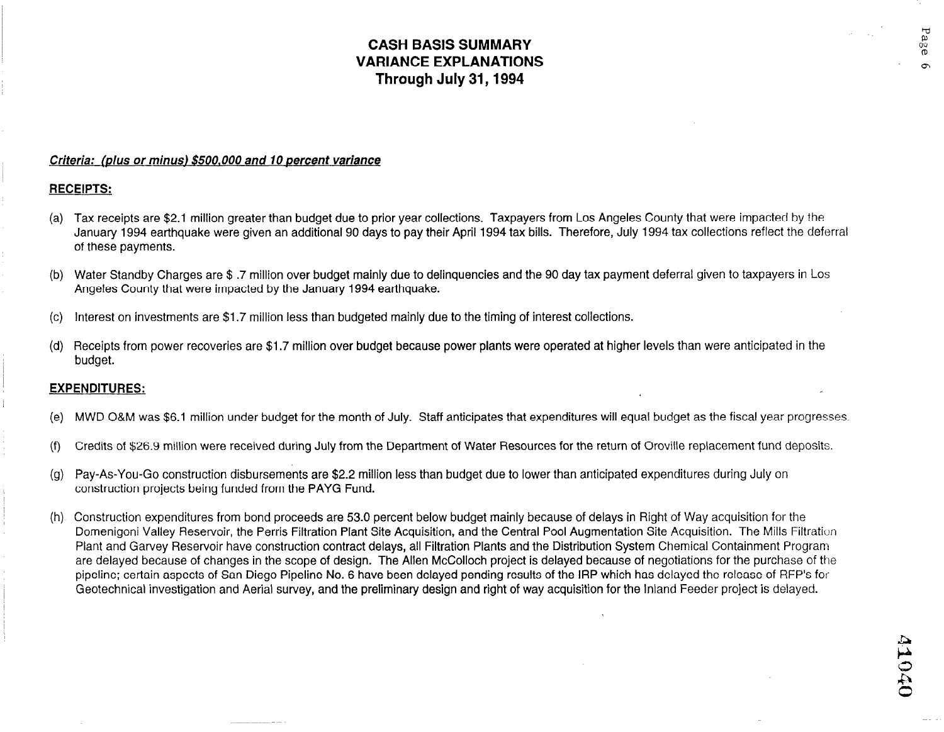## CASH BASIS SUMMARY VARIANCE EXPLANATIONS Through July 31,1994

### Criteria: (plus or minus) \$500,000 and 10 percent variance

### RECEIPTS:

- (a)  $\,$  Tax receipts are \$2.1 million greater than budget due to prior year collections. Taxpayers from Los Angeles County that were impacted by the January 1994 earthquake were given an additional 90 days to pay their April 1994 tax bills. Therefore, July 1994 tax collections reflect the deferral of these payments.
- lb) Water Standby Charges are \$ .7 million over budget mainly due to delinquencies and the 90 day tax payment deferral given to taxpayers in Los Angeles County that were impacted by the January 1994 earthquake.
- (c) Interest on investments are \$1.7 million less than budgeted mainly due to the timing of interest collections.
- (d) Receipts from power recoveries are \$1.7 million over budget because power plants were operated at higher levels than were anticipated in the budget.

### EXPENDITURES:

- (e) MWD O&M was \$6.1 million under budget for the month of July. Staff anticipates that expenditures will equal budget as the fiscal year progresses.
- (f) Credits of \$26.9 million were received during July from the Department of Water Resources for the return of Oroville replacement fund deposits.
- (g) Pay-As-You-Go construction disbursements are \$2.2 million less than budget due to lower than anticipated expenditures during July on construction projects being funded from the PAYG Fund.
- (h) Construction expenditures from bond proceeds are 53.0 percent below budget mainly because of delays in Right of Way acquisition for the Domenigoni Valley Reservoir, the Perris Filtration Plant Site Acquisition, and the Central Pool Augmentation Site Acquisition. The Mills Filtration Plant and Garvey Reservoir have construction contract delays, all Filtration Plants and the Distribution System Chemical Containment Program are delayed because of changes in the scope of design. The Allen McColloch project is delayed because of negotiations for the purchase of the pipeline; certain aspects of San Diego Pipeline No. 6 have been delayed pending results of the IRP which has delayed the release of RFP's for Geotechnical investigation and Aerial survey, and the preliminary design and right of way acquisition for the Inland Feeder project is delayed.

Page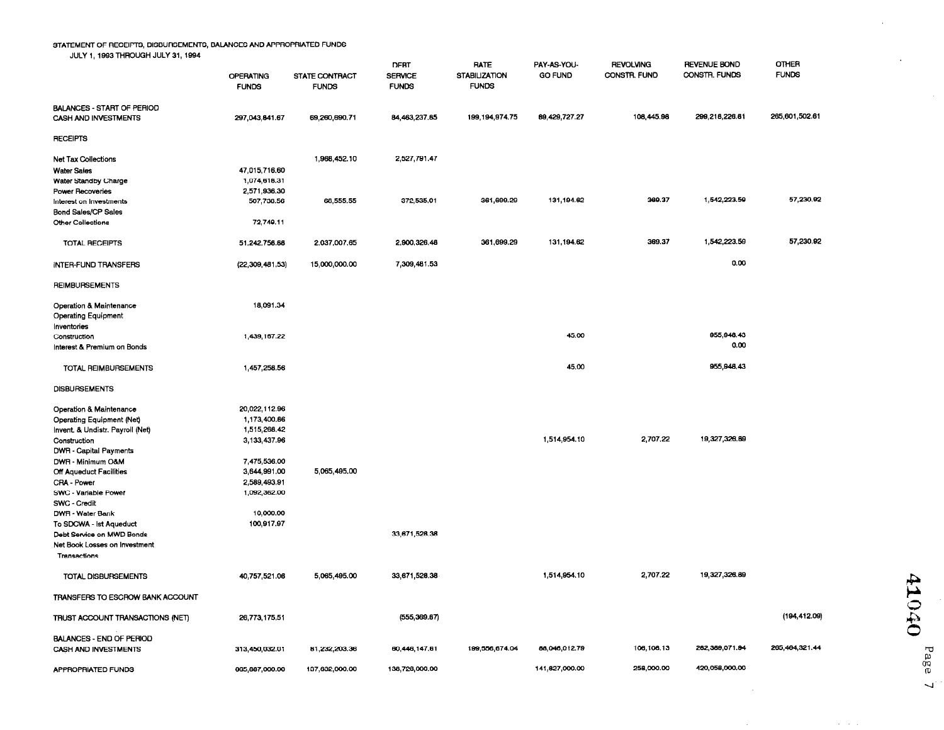#### STATEMENT OF RECEIPTS, DISBURSEMENTS, BALANCES AND APPROPRIATED FUNDS

JULY 1, 1993 THROUGH JULY 31, 1994

| SOLI I TOOD ITTITOODITUOLI UI, TOOT             | <b>OPERATING</b><br><b>FUNDS</b> | STATE CONTRACT<br><b>FUNDS</b> | <b>DEBT</b><br><b>SERVICE</b><br><b>FUNDS</b> | <b>RATE</b><br><b>STABILIZATION</b><br><b>FUNDS</b> | PAY-AS-YOU-<br><b>GO FUND</b> | <b>REVOLVING</b><br>CONSTR. FUND | REVENUE BOND<br>CONSTR. FUNDS | OTHER<br><b>FUNDS</b> |
|-------------------------------------------------|----------------------------------|--------------------------------|-----------------------------------------------|-----------------------------------------------------|-------------------------------|----------------------------------|-------------------------------|-----------------------|
| <b>BALANCES - START OF PERIOD</b>               |                                  |                                |                                               |                                                     |                               | 108,445.98                       | 299,218,226.81                | 265,601.502.61        |
| CASH AND INVESTMENTS                            | 297,043,841.67                   | 69,260,690.71                  | 84 463,237.85                                 | 199, 194, 974.75                                    | 89, 429, 727.27               |                                  |                               |                       |
| <b>RECEIPTS</b>                                 |                                  |                                |                                               |                                                     |                               |                                  |                               |                       |
| <b>Net Tax Collections</b>                      |                                  | 1,968,452.10                   | 2,527,791.47                                  |                                                     |                               |                                  |                               |                       |
| <b>Water Sales</b>                              | 47,015,716.60                    |                                |                                               |                                                     |                               |                                  |                               |                       |
| Water Standby Charge                            | 1,074,618.31                     |                                |                                               |                                                     |                               |                                  |                               |                       |
| Power Recoveries                                | 2,571,936.30                     |                                |                                               |                                                     |                               | 369.37                           | 1,542,223.59                  | 57,230.92             |
| Interest on Investments                         | 507,738.56                       | 68,555.55                      | 372,535.01                                    | 361,699.29                                          | 131,194.62                    |                                  |                               |                       |
| <b>Bond Sales/CP Sales</b><br>Other Collections | 72,749.11                        |                                |                                               |                                                     |                               |                                  |                               |                       |
|                                                 |                                  |                                |                                               |                                                     |                               |                                  |                               |                       |
| <b>TOTAL RECEIPTS</b>                           | 51,242,758.88                    | 2,037,007.65                   | 2,900,326.48                                  | 361,699.29                                          | 131,194.62                    | 369.37                           | 1,542,223.59                  | 57,230.92             |
| INTER-FUND TRANSFERS                            | (22, 309, 481, 53)               | 15,000,000.00                  | 7,309,481.53                                  |                                                     |                               |                                  | 0.00                          |                       |
| <b>REIMBURSEMENTS</b>                           |                                  |                                |                                               |                                                     |                               |                                  |                               |                       |
| <b>Operation &amp; Maintenance</b>              | 18,091.34                        |                                |                                               |                                                     |                               |                                  |                               |                       |
| <b>Operating Equipment</b>                      |                                  |                                |                                               |                                                     |                               |                                  |                               |                       |
| Inventories                                     |                                  |                                |                                               |                                                     |                               |                                  |                               |                       |
| Construction                                    | 1,439,167.22                     |                                |                                               |                                                     | 45.00                         |                                  | 955,948.43                    |                       |
| Interest & Premium on Bonds                     |                                  |                                |                                               |                                                     |                               |                                  | 0.00                          |                       |
| <b>TOTAL REIMBURSEMENTS</b>                     | 1457,258.56                      |                                |                                               |                                                     | 45.00                         |                                  | 955,948.43                    |                       |
| <b>DISBURSEMENTS</b>                            |                                  |                                |                                               |                                                     |                               |                                  |                               |                       |
| Operation & Maintenance                         | 20,022,112.96                    |                                |                                               |                                                     |                               |                                  |                               |                       |
| Operating Equipment (Net)                       | 1.173,400.86                     |                                |                                               |                                                     |                               |                                  |                               |                       |
| Invent. & Undistr. Payroll (Net)                | 1,515,266.42                     |                                |                                               |                                                     |                               |                                  |                               |                       |
| Construction                                    | 3,133,437.96                     |                                |                                               |                                                     | 1,514,954.10                  | 2,707.22                         | 19,327,326.69                 |                       |
| DWR - Capital Payments                          |                                  |                                |                                               |                                                     |                               |                                  |                               |                       |
| DWR - Minimum O&M                               | 7,475,536.00                     |                                |                                               |                                                     |                               |                                  |                               |                       |
| Off Aqueduct Facilities                         | 3,644,991.00                     | 5,065,495.00                   |                                               |                                                     |                               |                                  |                               |                       |
| CRA - Power                                     | 2,589,493.91<br>1.092,362.00     |                                |                                               |                                                     |                               |                                  |                               |                       |
| SWC - Variable Power                            |                                  |                                |                                               |                                                     |                               |                                  |                               |                       |
| SWC - Credit<br>DWR - Water Bank                | 10,000.00                        |                                |                                               |                                                     |                               |                                  |                               |                       |
| To SDCWA - Ist Aqueduct                         | 100,917.97                       |                                |                                               |                                                     |                               |                                  |                               |                       |
| Debt Service on MWD Bonds                       |                                  |                                | 33,671,528.38                                 |                                                     |                               |                                  |                               |                       |
| Net Book Losses on Investment                   |                                  |                                |                                               |                                                     |                               |                                  |                               |                       |
| Transactions                                    |                                  |                                |                                               |                                                     |                               |                                  |                               |                       |
|                                                 |                                  |                                |                                               |                                                     |                               |                                  |                               |                       |
| TOTAL DISBURSEMENTS                             | 40,757,521.08                    | 5,065,495.00                   | 33,671,528.38                                 |                                                     | 1,514,954.10                  | 2,707.22                         | 19,327,326.89                 |                       |
| TRANSFERS TO ESCROW BANK ACCOUNT                |                                  |                                |                                               |                                                     |                               |                                  |                               |                       |
| TRUST ACCOUNT TRANSACTIONS (NET)                | 26,773,175.51                    |                                | (555, 369.67)                                 |                                                     |                               |                                  |                               | (194, 412.09)         |
| <b>BALANCES - END OF PERIOD</b>                 |                                  |                                |                                               |                                                     |                               |                                  |                               |                       |
| CASH AND INVESTMENTS                            | 313,450,032.01                   | 81,232,203.36                  | 60,446,147.61                                 | 199,556,674.04                                      | 88,046,012.79                 | 106,108.13                       | 262,369,071.94                | 265,464,321.44        |
| APPROPRIATED FUNDS                              | 665,887,000.00                   | 137,632,000.00                 | 138,728,000.00                                |                                                     | 141,827,000.00                | 258,000.00                       | 420,058,000,00                |                       |

02014

 $\mathcal{L}$ 

 $\ddot{\phantom{a}}$ 

 $\sim$ 

Page

 $\mathcal{A} \rightarrow \mathcal{A}$ 

 $\sim$ 

 $\sim$ 

 $\overline{\mathcal{L}}$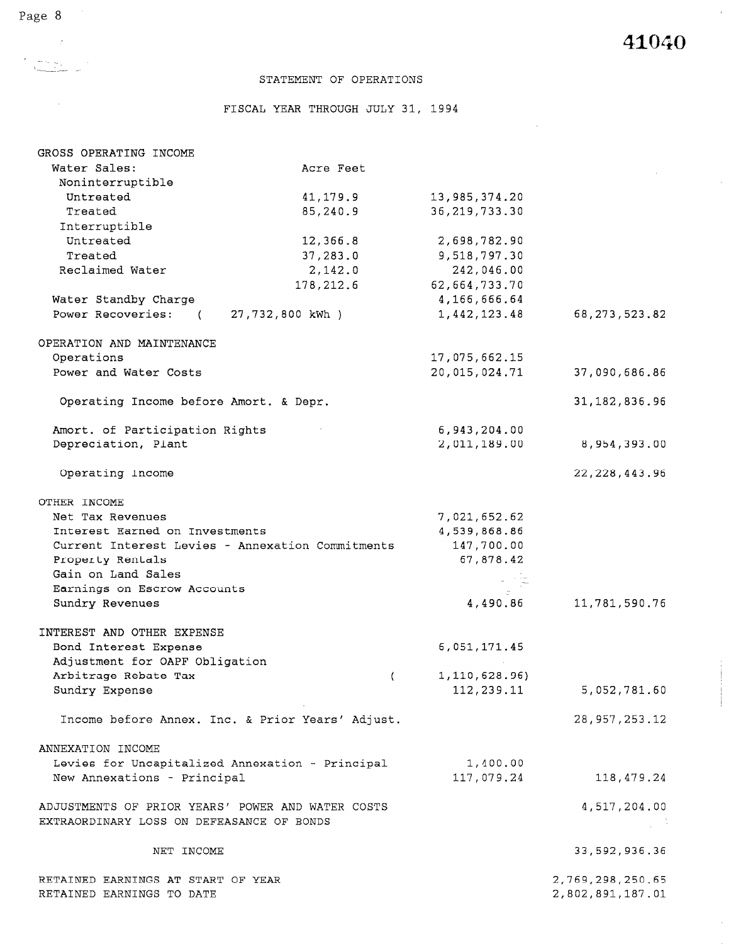$\bar{\mathcal{A}}$ 

 $\hat{\mathcal{A}}$ 

 $\sim$ 

 $\mathcal{A}^{\mathcal{A}}$ 

### STATEMENT OF OPERATIONS

FISCAL YEAR THROUGH JULY 31, 1994

| GROSS OPERATING INCOME                                                                         |                                                  |                  |                  |
|------------------------------------------------------------------------------------------------|--------------------------------------------------|------------------|------------------|
| Water Sales:                                                                                   | Acre Feet                                        |                  |                  |
| Noninterruptible                                                                               |                                                  |                  |                  |
| Untreated                                                                                      | 41,179.9                                         | 13, 985, 374. 20 |                  |
| Treated                                                                                        | 85,240.9                                         | 36, 219, 733.30  |                  |
| Interruptible                                                                                  |                                                  |                  |                  |
| Untreated                                                                                      | 12,366.8                                         | 2,698,782.90     |                  |
| Treated                                                                                        | 37,283.0                                         | 9,518,797.30     |                  |
| Reclaimed Water                                                                                | 2,142.0                                          | 242,046.00       |                  |
|                                                                                                | 178,212.6                                        | 62,664,733.70    |                  |
| Water Standby Charge                                                                           |                                                  | 4,166,666.64     |                  |
| Power Recoveries:<br>$\sqrt{2}$                                                                | 27,732,800 kWh )                                 | 1,442,123.48     | 68, 273, 523.82  |
| OPERATION AND MAINTENANCE                                                                      |                                                  |                  |                  |
| Operations                                                                                     |                                                  | 17,075,662.15    |                  |
| Power and Water Costs                                                                          |                                                  | 20,015,024.71    | 37,090,686.86    |
| Operating Income before Amort. & Depr.                                                         |                                                  |                  | 31, 182, 836.96  |
| Amort. of Participation Rights                                                                 |                                                  | 6,943,204.00     |                  |
| Depreciation, Plant                                                                            |                                                  | 2,011,189.00     | 8,954,393.00     |
|                                                                                                |                                                  |                  |                  |
| Operating Income                                                                               |                                                  |                  | 22, 228, 443.96  |
| OTHER INCOME                                                                                   |                                                  |                  |                  |
| Net Tax Revenues                                                                               |                                                  | 7,021,652.62     |                  |
| Interest Earned on Investments                                                                 |                                                  | 4,539,868.86     |                  |
|                                                                                                | Current Interest Levies - Annexation Commitments | 147,700.00       |                  |
| Property Rentals                                                                               |                                                  | 67,878.42        |                  |
| Gain on Land Sales                                                                             |                                                  |                  |                  |
| Earnings on Escrow Accounts                                                                    |                                                  |                  |                  |
| Sundry Revenues                                                                                |                                                  | 4,490.86         | 11,781,590.76    |
| INTEREST AND OTHER EXPENSE                                                                     |                                                  |                  |                  |
| Bond Interest Expense                                                                          |                                                  | 6,051,171.45     |                  |
| Adjustment for OAPF Obligation                                                                 |                                                  |                  |                  |
| Arbitrage Rebate Tax                                                                           | $\left($                                         | 1,110,628.96)    |                  |
| Sundry Expense                                                                                 |                                                  | 112, 239.11      | 5,052,781.60     |
|                                                                                                | Income before Annex. Inc. & Prior Years' Adjust. |                  | 28, 957, 253.12  |
| ANNEXATION INCOME                                                                              |                                                  |                  |                  |
| Levies for Uncapitalized Annexation - Principal                                                |                                                  | 1,400.00         |                  |
| New Annexations - Principal                                                                    |                                                  | 117,079.24       | 118,479.24       |
| ADJUSTMENTS OF PRIOR YEARS' POWER AND WATER COSTS<br>EXTRAORDINARY LOSS ON DEFEASANCE OF BONDS |                                                  |                  | 4,517,204.00     |
| NET INCOME                                                                                     |                                                  |                  | 33,592,936.36    |
| RETAINED EARNINGS AT START OF YEAR                                                             |                                                  |                  | 2,769,298,250.65 |
| RETAINED EARNINGS TO DATE                                                                      |                                                  |                  | 2,802,891,187.01 |

 $\sqrt{2}$ 

 $\mathcal{A}$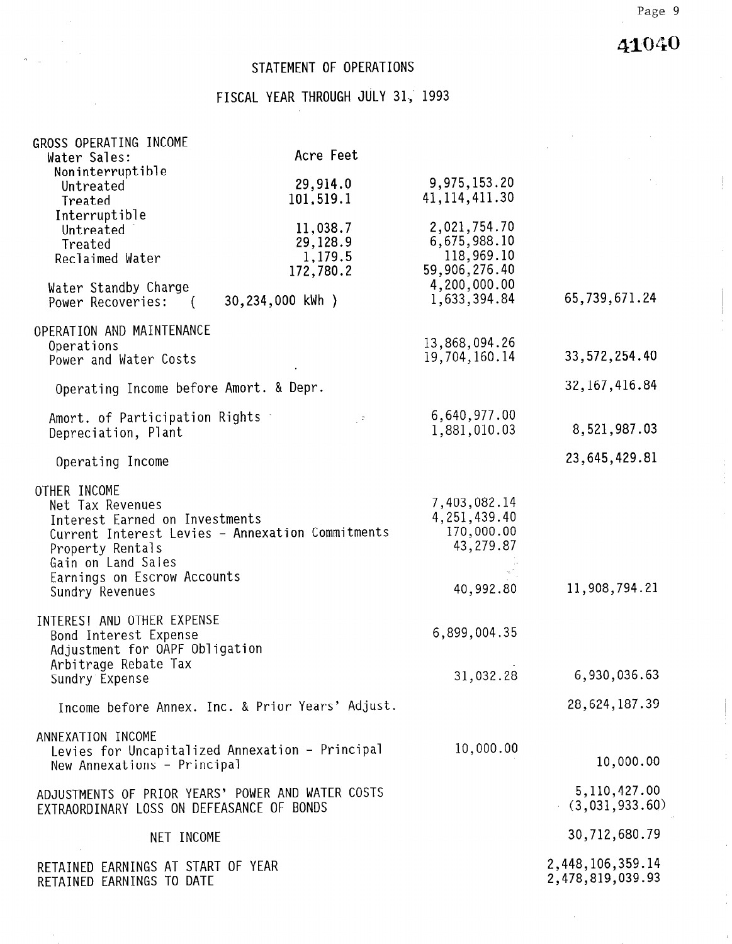# 41040

## STATEMENT OF OPERATIONS

# FISCAL YEAR THROUGH JULY 31, 1993

| GROSS OPERATING INCOME                            |                                                  |                 |                  |  |
|---------------------------------------------------|--------------------------------------------------|-----------------|------------------|--|
| Water Sales:                                      | Acre Feet                                        |                 |                  |  |
| Noninterruptible                                  | 29,914.0                                         | 9,975,153.20    |                  |  |
| Untreated<br>Treated                              | 101,519.1                                        | 41, 114, 411.30 |                  |  |
| Interruptible                                     |                                                  |                 |                  |  |
| Untreated                                         | 11,038.7                                         | 2,021,754.70    |                  |  |
| Treated                                           | 29,128.9                                         | 6,675,988.10    |                  |  |
| Reclaimed Water                                   | 1,179.5                                          | 118,969.10      |                  |  |
|                                                   | 172,780.2                                        | 59,906,276.40   |                  |  |
| Water Standby Charge                              |                                                  | 4,200,000.00    |                  |  |
| Power Recoveries: (                               | 30,234,000 kWh )                                 | 1,633,394.84    | 65,739,671.24    |  |
| OPERATION AND MAINTENANCE                         |                                                  |                 |                  |  |
| Operations                                        |                                                  | 13,868,094.26   |                  |  |
| Power and Water Costs                             |                                                  | 19,704,160.14   | 33, 572, 254.40  |  |
| Operating Income before Amort. & Depr.            |                                                  |                 | 32, 167, 416.84  |  |
| Amort. of Participation Rights                    | $\mathbb{Z}^{(2)}$                               | 6,640,977.00    |                  |  |
| Depreciation, Plant                               |                                                  | 1,881,010.03    | 8,521,987.03     |  |
|                                                   |                                                  |                 | 23,645,429.81    |  |
| Operating Income                                  |                                                  |                 |                  |  |
| OTHER INCOME                                      |                                                  |                 |                  |  |
| Net Tax Revenues                                  |                                                  | 7,403,082.14    |                  |  |
| Interest Earned on Investments                    |                                                  | 4, 251, 439.40  |                  |  |
|                                                   | Current Interest Levies - Annexation Commitments | 170,000.00      |                  |  |
| Property Rentals                                  |                                                  | 43,279.87       |                  |  |
| Gain on Land Sales                                |                                                  |                 |                  |  |
| Earnings on Escrow Accounts<br>Sundry Revenues    |                                                  | 40,992.80       | 11,908,794.21    |  |
|                                                   |                                                  |                 |                  |  |
| INTEREST AND OTHER EXPENSE                        |                                                  |                 |                  |  |
| Bond Interest Expense                             |                                                  | 6,899,004.35    |                  |  |
| Adjustment for OAPF Obligation                    |                                                  |                 |                  |  |
| Arbitrage Rebate Tax<br>Sundry Expense            |                                                  | 31,032.28       | 6,930,036.63     |  |
|                                                   | Income before Annex. Inc. & Prior Years' Adjust. |                 | 28,624,187.39    |  |
|                                                   |                                                  |                 |                  |  |
| ANNEXATION INCOME                                 |                                                  |                 |                  |  |
| Levies for Uncapitalized Annexation - Principal   |                                                  | 10,000.00       | 10,000.00        |  |
| New Annexations - Principal                       |                                                  |                 |                  |  |
| ADJUSTMENTS OF PRIOR YEARS' POWER AND WATER COSTS |                                                  |                 | 5, 110, 427.00   |  |
| EXTRAORDINARY LOSS ON DEFEASANCE OF BONDS         |                                                  |                 | (3,031,933.60)   |  |
|                                                   |                                                  |                 |                  |  |
| NET INCOME                                        |                                                  |                 | 30,712,680.79    |  |
| RETAINED EARNINGS AT START OF YEAR                |                                                  |                 | 2,448,106,359.14 |  |
| RETAINED EARNINGS TO DATE                         |                                                  |                 | 2,478,819,039.93 |  |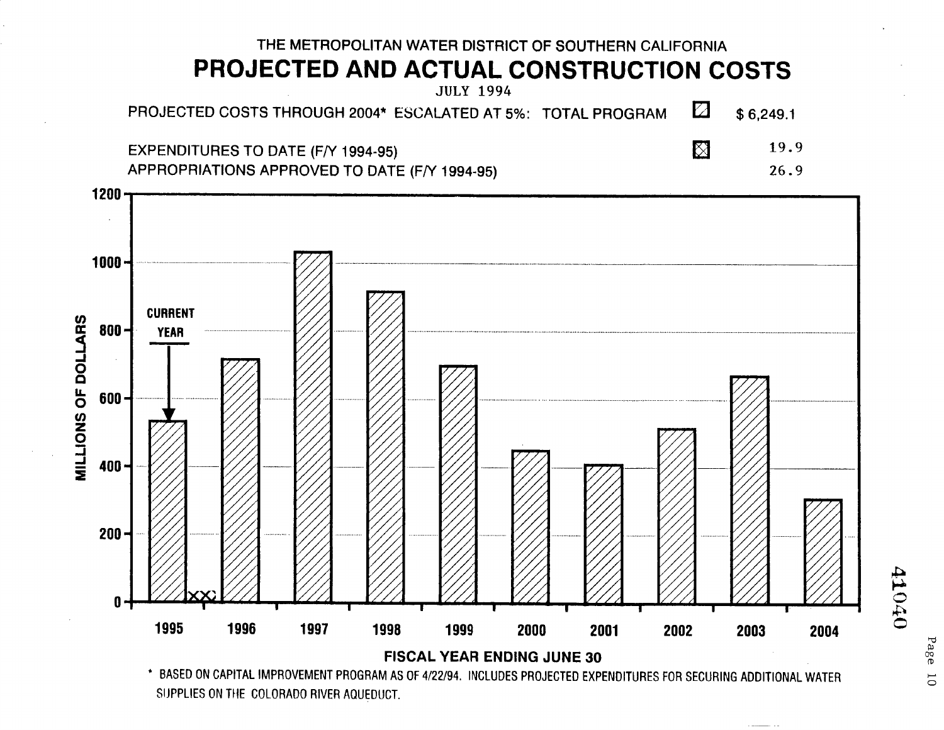

SUPPLIES ON THE COLORADO RIVER AQUEDUCT.

050TP

Page  $\overline{0}$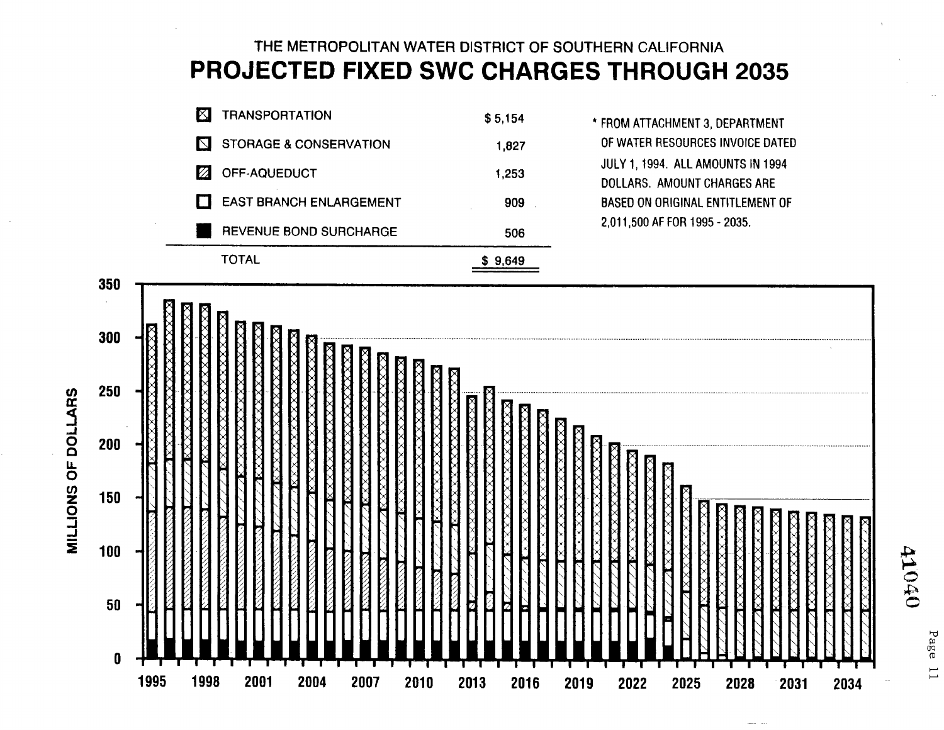# THE METROPOLITAN WATER DISTRICT OF SOUTHERN CALIFORNIA PROJECTED FIXED SWC CHARGES THROUGH 2035

| K<br><b>TRANSPORTATION</b>                       | \$5,154 |
|--------------------------------------------------|---------|
| <b>STORAGE &amp; CONSERVATION</b><br>$\mathbf N$ | 1,827   |
| Ø<br>OFF-AQUEDUCT                                | 1,253   |
| EAST BRANCH ENLARGEMENT                          | 909     |
| REVENUE BOND SURCHARGE                           | 506     |
| TAL                                              | 9,649   |

MILLIONS OF DOLLARS

\* FROM ATTACHMENT 3, DEPARTMENT OF WATER RESOURCES INVOICE DATED JULY 1, 1994. ALL AMOUNTS IN 1994 **DOLLARS. AMOUNT CHARGES ARE BASED ON ORIGINAL ENTITLEMENT OF** 2,011,500 AF FOR 1995 - 2035.

| 350        |      |                       |             |                       |                             |                                            |             |             |           |        |          |      |        |      |
|------------|------|-----------------------|-------------|-----------------------|-----------------------------|--------------------------------------------|-------------|-------------|-----------|--------|----------|------|--------|------|
|            | ХХ   | Ñ<br>Χ<br>Х           |             |                       |                             |                                            |             |             |           |        |          |      |        |      |
| 300        |      | $\boxtimes$<br>⋈<br>⋈ | ×           | Χ<br>$\boxtimes$<br>⋈ | $\overline{\text{XX}}$<br>X | Χ<br>$\overline{\text{XX}}$<br>$\boxtimes$ | K           |             |           |        |          |      |        |      |
| 250        |      |                       |             |                       | $\overline{\text{XX}}$      | M                                          | M           | Ř           | X         |        |          |      |        |      |
| <b>200</b> |      | X<br>Ř<br>Z           | X<br>×      |                       |                             |                                            |             |             | <b>IX</b> |        |          |      |        |      |
| 150        | Z    | Ζ<br>Ø                | Κ<br>O<br>Ø | Ķ<br>⋉<br>Κ<br>X      | X<br>X                      | X<br>п                                     | ×           |             |           |        | $\times$ |      |        | N    |
| 100        |      |                       |             | 2<br>Ø                | à<br>Z                      | Z<br>7<br>Ø                                | Z,          | K<br>Ř      |           | Ř<br>Χ |          |      |        |      |
| $50\,$     |      | K                     | Ø           | H<br>K<br>K           | 셬<br>K<br>⇙                 | 凶<br>Й<br>K                                | Ø<br>H<br>Ø | E<br>H<br>Ľ |           |        |          | Ř    | N<br>H | Ř    |
| 0          |      |                       |             |                       |                             |                                            |             |             |           |        |          |      |        |      |
|            | 1995 | 1998                  | 2001        | 2004                  | 2007                        | 2010                                       | 2013        | 2016        | 2019      | 2022   | 2025     | 2028 | 2031   | 2034 |

Page  $\overline{\overline{1}}$ 

OPOTP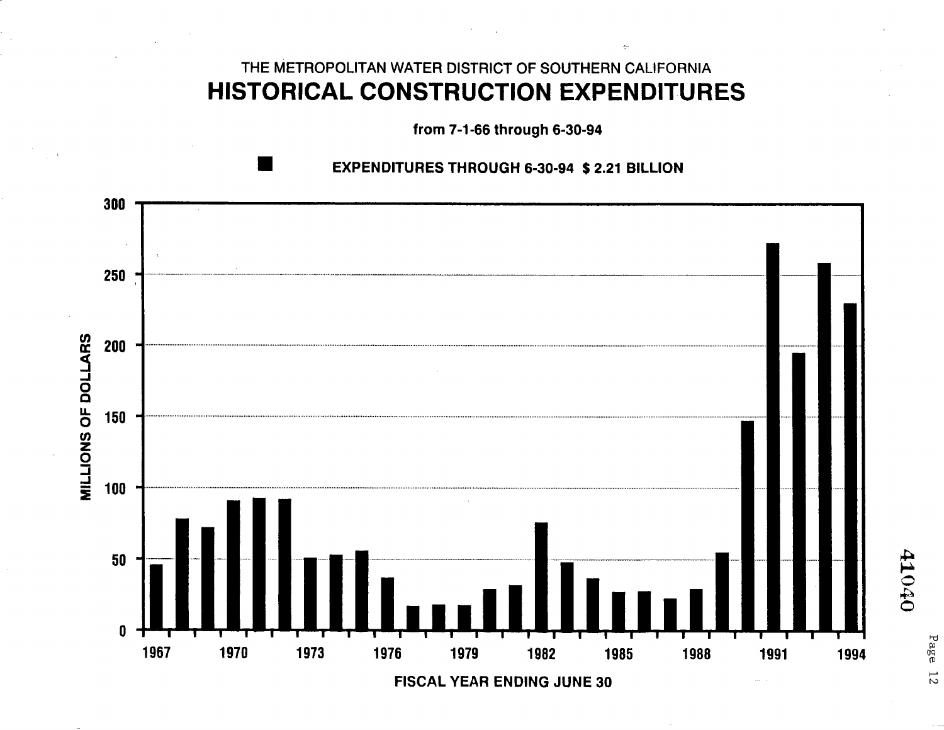## THE METROPOLITAN WATER DISTRICT OF SOUTHERN CALIFORNIA **HISTORICAL CONSTRUCTION EXPENDITURES**

from 7-1-66 through 6-30-94

### **EXPENDITURES THROUGH 6-30-94 \$ 2.21 BILLION**



Page  $12$ 

050Tb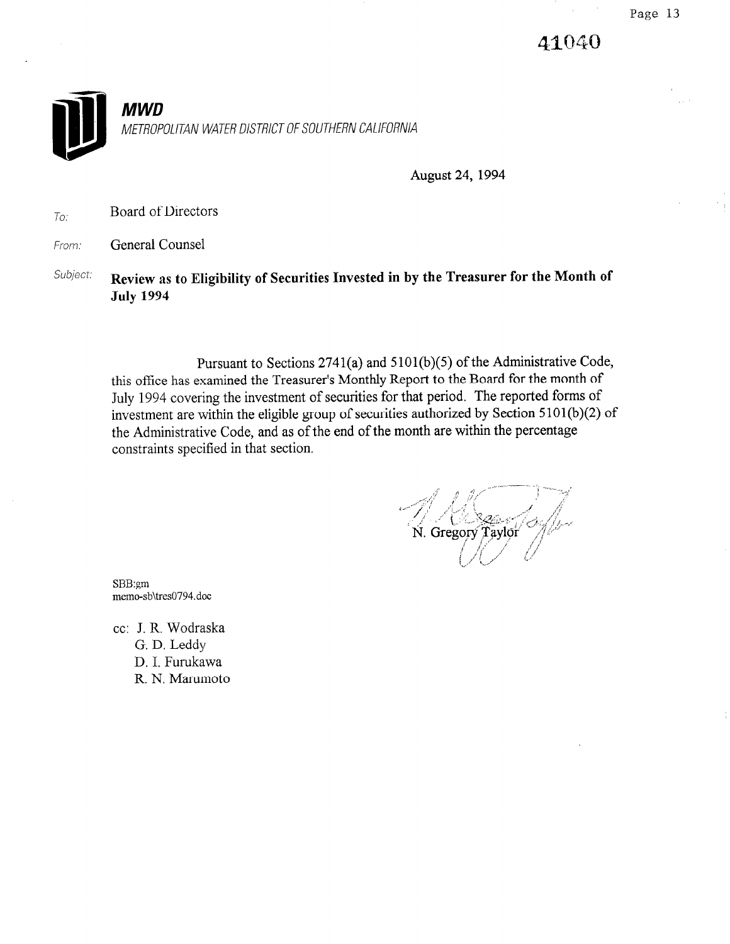41040



August 24, 1994

 $T_{O}$ : Board of Directors

From: **General Counsel** 

Subject: Review as to Eligibility of Securities Invested in by the Treasurer for the Month of July 1994

Pursuant to Sections 2741(a) and 5 101(b)(5) of the Administrative Code, this office has examined the Treasurer's Monthly Report to the Board for the month of July 1994 covering the investment of securities for that period. The reported forms of investment are within the eligible group of securities authorized by Section 5 101(b)(2) of the Administrative Code, and as of the end of the month are within the percentage constraints specified in that section.

N. Gregory Taylor

SBB:gm memo-sb\tres0794.doc

cc: J. R. Wodraska G. D. Leddy D. I. Furukawa R. N. Marumoto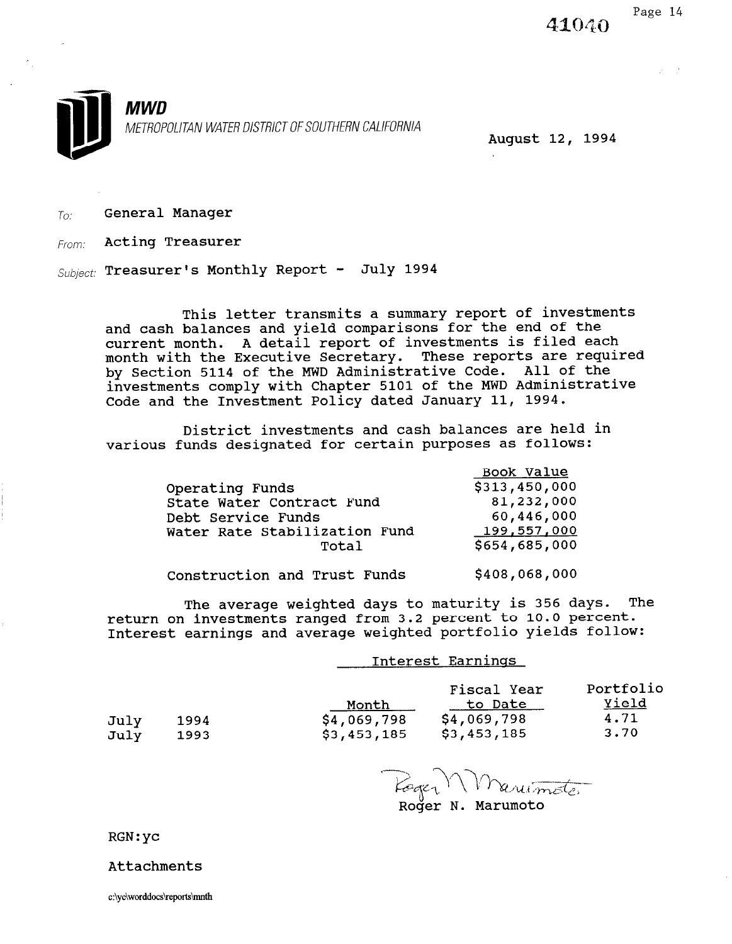41040



August 12, 1994

 $T_{O}$ : General Manager

From: Acting Treasurer

 $Subject:$  Treasurer's Monthly Report - July 1994

This letter transmits a summary report of investments and cash balances and yield comparisons for the end of the current month. A detail report of investments is filed each month with the Executive Secretary. These reports are required by Section 5114 of the MWD Administrative Code. All of the investments comply with Chapter 5101 of the MWD Administrative Code and the Investment Policy dated January 11, 1994.

District investments and cash balances are held in various funds designated for certain purposes as follows:

|                               | Book Value    |
|-------------------------------|---------------|
| Operating Funds               | \$313,450,000 |
| State Water Contract Fund     | 81,232,000    |
| Debt Service Funds            | 60,446,000    |
| Water Rate Stabilization Fund | 199,557,000   |
| Total                         | \$654,685,000 |
|                               |               |

Construction and Trust Funds \$408,068,000

The average weighted days to maturity is 356 days. The return on investments ranged from 3.2 percent to 10.0 percent. Interest earnings and average weighted portfolio yields follow:

|              |              |                                     | Interest Earnings                                           |                                    |
|--------------|--------------|-------------------------------------|-------------------------------------------------------------|------------------------------------|
| July<br>July | 1994<br>1993 | Month<br>\$4,069,798<br>\$3,453,185 | Fiscal Year<br>to <u>Date</u><br>\$4,069,798<br>\$3,453,185 | Portfolio<br>Yield<br>4.71<br>3.70 |

Roger N. Marumoto

RGN:yc

Attachments

 $\mu = 1$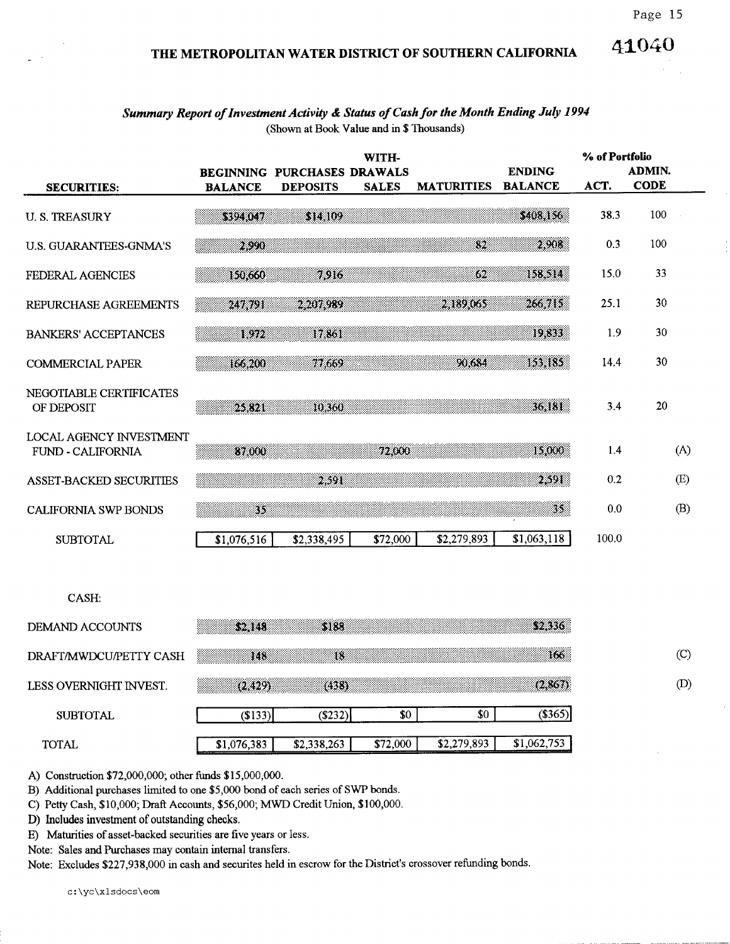### 41040 THE METROPOLITAN WATER DISTRICT OF SOUTHERN CALIFORNIA

| Summary Report of Investment Activity & Status of Cash for the Month Ending July 1994 |  |
|---------------------------------------------------------------------------------------|--|
| (Shown at Book Value and in \$ Thousands)                                             |  |

|                                              |                | BEGINNING PURCHASES DRAWALS | WITH-        |                          | <b>ENDING</b>  | % of Portfolio | <b>ADMIN.</b> |     |
|----------------------------------------------|----------------|-----------------------------|--------------|--------------------------|----------------|----------------|---------------|-----|
| <b>SECURITIES:</b>                           | <b>BALANCE</b> | <b>DEPOSITS</b>             | <b>SALES</b> | <b>MATURITIES</b>        | <b>BALANCE</b> | ACT.           | <b>CODE</b>   |     |
| <b>U.S. TREASURY</b>                         | sen j          | 31. 109                     |              |                          | \$408,156      | 38.3           | 100           |     |
| <b>U.S. GUARANTEES-GNMA'S</b>                | 2.990          |                             |              | $\overline{\mathcal{D}}$ | 2.908          | 0.3            | 100           |     |
| FEDERAL AGENCIES                             | 150,660        | 7916                        |              | 62                       | 158.514        | 15.0           | 33            |     |
| REPURCHASE AGREEMENTS                        | 247,791        | 2 207,989                   |              | 2.189,065                | 266.715        | 25.1           | 30            |     |
| <b>BANKERS' ACCEPTANCES</b>                  | 1972           | 17.861                      |              |                          | 19.833         | 1.9            | 30            |     |
| <b>COMMERCIAL PAPER</b>                      | 166.200        | 77.669                      |              | 90,684                   | 153,185        | 14.4           | 30            |     |
| NEGOTIABLE CERTIFICATES<br>OF DEPOSIT        | 25.321         | 10,360                      |              |                          | 36,181         | 3.4            | 20            |     |
| LOCAL AGENCY INVESTMENT<br>FUND - CALIFORNIA | 87,000         |                             | 72,000       |                          | 15,000         | 1.4            | (A)           |     |
| <b>ASSET-BACKED SECURITIES</b>               |                | - 301                       |              |                          | 2.591          | 0.2            | (E)           |     |
| <b>CALIFORNIA SWP BONDS</b>                  | 35             |                             |              |                          | 35.            | 0.0            | (B)           |     |
| <b>SUBTOTAL</b>                              | \$1,076,516    | \$2,338,495                 | \$72,000     | \$2,279,893              | \$1,063,118    | 100.0          |               |     |
| CASH:                                        |                |                             |              |                          |                |                |               |     |
|                                              |                |                             |              |                          |                |                |               |     |
| DEMAND ACCOUNTS                              | \$2.148        | \$188                       |              |                          | \$2,336        |                |               |     |
| DRAFT/MWDCU/PETTY CASH                       | 148            | 18                          |              |                          | 166.           |                |               | (C) |
| LESS OVERNIGHT INVEST.                       | (2, 429)       | (438)                       |              |                          | (2,867)        |                |               | (D) |
| <b>SUBTOTAL</b>                              | (S133)         | (\$232)                     | \$0          | \$0                      | (\$365)        |                |               |     |
| <b>TOTAL</b>                                 | \$1,076,383    | \$2,338,263                 | \$72,000     | \$2,279,893              | \$1,062,753    |                |               |     |

A) Construction \$72,000,000; other funds \$15,000,000.

B) Additional purchases limited to one \$5,000 bond of each series of SWP bonds.

C) Petty Cash, \$10,000; Draft Accounts, \$56,000; MWD Credit Union, \$100,000.

D) Includes investment of outstanding checks.

E) Maturities of asset-backed securities are five years or less.

Note: Sales and Purchases may contain internal transfers.

Note: Excludes \$227,938,000 in cash and securites held in escrow for the District's crossover refunding bonds.